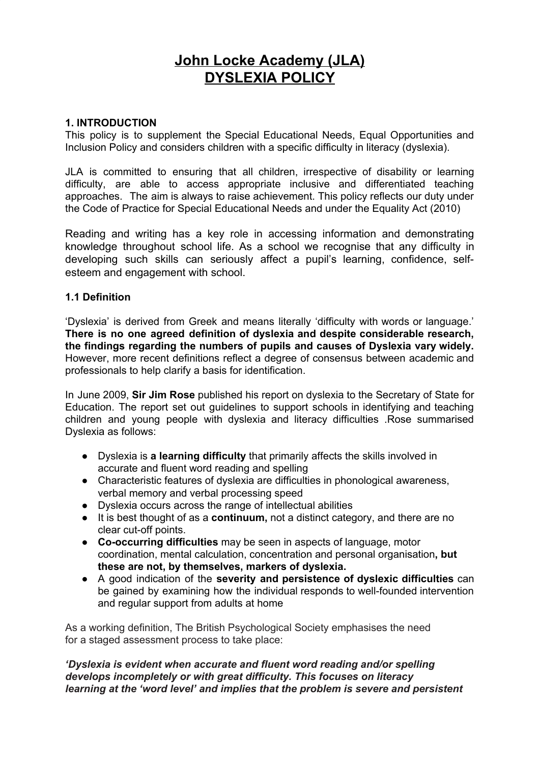# **John Locke Academy (JLA) DYSLEXIA POLICY**

#### **1. INTRODUCTION**

This policy is to supplement the Special Educational Needs, Equal Opportunities and Inclusion Policy and considers children with a specific difficulty in literacy (dyslexia).

JLA is committed to ensuring that all children, irrespective of disability or learning difficulty, are able to access appropriate inclusive and differentiated teaching approaches. The aim is always to raise achievement. This policy reflects our duty under the Code of Practice for Special Educational Needs and under the Equality Act (2010)

Reading and writing has a key role in accessing information and demonstrating knowledge throughout school life. As a school we recognise that any difficulty in developing such skills can seriously affect a pupil's learning, confidence, selfesteem and engagement with school.

#### **1.1 Definition**

'Dyslexia' is derived from Greek and means literally 'difficulty with words or language.' **There is no one agreed definition of dyslexia and despite considerable research, the findings regarding the numbers of pupils and causes of Dyslexia vary widely.** However, more recent definitions reflect a degree of consensus between academic and professionals to help clarify a basis for identification.

In June 2009, **Sir Jim Rose** published his report on dyslexia to the Secretary of State for Education. The report set out guidelines to support schools in identifying and teaching children and young people with dyslexia and literacy difficulties .Rose summarised Dyslexia as follows:

- Dyslexia is **a learning difficulty** that primarily affects the skills involved in accurate and fluent word reading and spelling
- Characteristic features of dyslexia are difficulties in phonological awareness, verbal memory and verbal processing speed
- Dyslexia occurs across the range of intellectual abilities
- It is best thought of as a **continuum,** not a distinct category, and there are no clear cut-off points.
- **● Co-occurring difficulties** may be seen in aspects of language, motor coordination, mental calculation, concentration and personal organisation**, but these are not, by themselves, markers of dyslexia.**
- **●** A good indication of the **severity and persistence of dyslexic difficulties** can be gained by examining how the individual responds to well-founded intervention and regular support from adults at home

As a working definition, The British Psychological Society emphasises the need for a staged assessment process to take place:

*'Dyslexia is evident when accurate and fluent word reading and/or spelling develops incompletely or with great difficulty. This focuses on literacy learning at the 'word level' and implies that the problem is severe and persistent*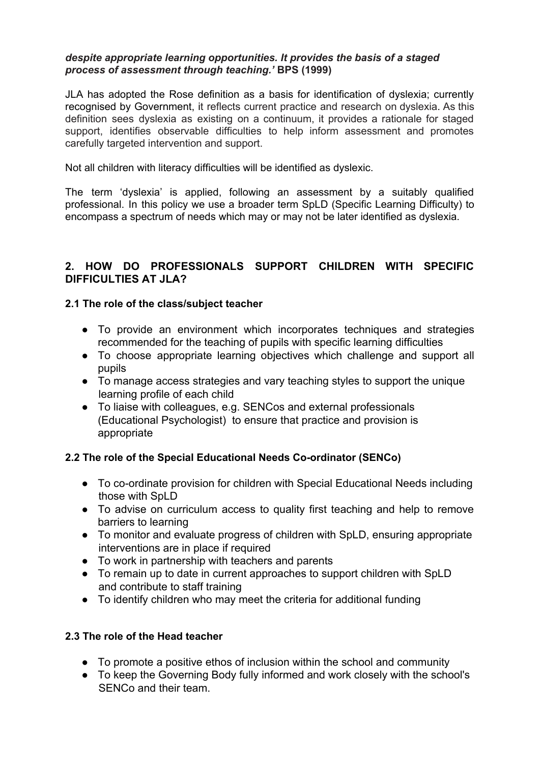#### *despite appropriate learning opportunities. It provides the basis of a staged process of assessment through teaching.'* **BPS (1999)**

JLA has adopted the Rose definition as a basis for identification of dyslexia; currently recognised by Government, it reflects current practice and research on dyslexia. As this definition sees dyslexia as existing on a continuum, it provides a rationale for staged support, identifies observable difficulties to help inform assessment and promotes carefully targeted intervention and support.

Not all children with literacy difficulties will be identified as dyslexic.

The term 'dyslexia' is applied, following an assessment by a suitably qualified professional. In this policy we use a broader term SpLD (Specific Learning Difficulty) to encompass a spectrum of needs which may or may not be later identified as dyslexia.

#### **2. HOW DO PROFESSIONALS SUPPORT CHILDREN WITH SPECIFIC DIFFICULTIES AT JLA?**

#### **2.1 The role of the class/subject teacher**

- To provide an environment which incorporates techniques and strategies recommended for the teaching of pupils with specific learning difficulties
- To choose appropriate learning objectives which challenge and support all pupils
- To manage access strategies and vary teaching styles to support the unique learning profile of each child
- To liaise with colleagues, e.g. SENCos and external professionals (Educational Psychologist) to ensure that practice and provision is appropriate

#### **2.2 The role of the Special Educational Needs Co-ordinator (SENCo)**

- To co-ordinate provision for children with Special Educational Needs including those with SpLD
- To advise on curriculum access to quality first teaching and help to remove barriers to learning
- To monitor and evaluate progress of children with SpLD, ensuring appropriate interventions are in place if required
- To work in partnership with teachers and parents
- To remain up to date in current approaches to support children with SpLD and contribute to staff training
- To identify children who may meet the criteria for additional funding

#### **2.3 The role of the Head teacher**

- To promote a positive ethos of inclusion within the school and community
- To keep the Governing Body fully informed and work closely with the school's SENCo and their team.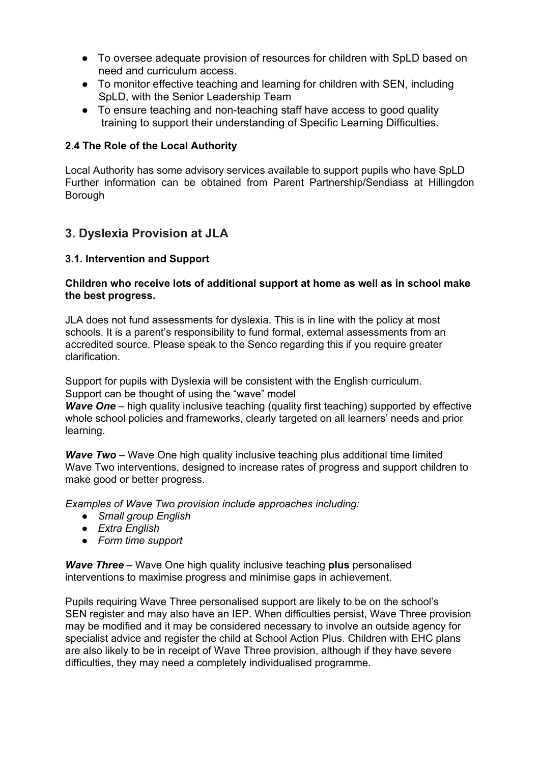- To oversee adequate provision of resources for children with SpLD based on need and curriculum access.
- To monitor effective teaching and learning for children with SEN, including SpLD, with the Senior Leadership Team
- To ensure teaching and non-teaching staff have access to good quality training to support their understanding of Specific Learning Difficulties.

#### **2.4 The Role of the Local Authority**

Local Authority has some advisory services available to support pupils who have SpLD Further information can be obtained from Parent Partnership/Sendiass at Hillingdon Borough

# **3. Dyslexia Provision at JLA**

#### **3.1. Intervention and Support**

#### **Children who receive lots of additional support at home as well as in school make the best progress.**

JLA does not fund assessments for dyslexia. This is in line with the policy at most schools. It is a parent's responsibility to fund formal, external assessments from an accredited source. Please speak to the Senco regarding this if you require greater clarification.

Support for pupils with Dyslexia will be consistent with the English curriculum. Support can be thought of using the "wave" model

*Wave One* – high quality inclusive teaching (quality first teaching) supported by effective whole school policies and frameworks, clearly targeted on all learners' needs and prior learning.

*Wave Two* – Wave One high quality inclusive teaching plus additional time limited Wave Two interventions, designed to increase rates of progress and support children to make good or better progress.

*Examples of Wave Two provision include approaches including:*

- *● Small group English*
- *● Extra English*
- *● Form time support*

*Wave Three* – Wave One high quality inclusive teaching **plus** personalised interventions to maximise progress and minimise gaps in achievement.

Pupils requiring Wave Three personalised support are likely to be on the school's SEN register and may also have an IEP. When difficulties persist, Wave Three provision may be modified and it may be considered necessary to involve an outside agency for specialist advice and register the child at School Action Plus. Children with EHC plans are also likely to be in receipt of Wave Three provision, although if they have severe difficulties, they may need a completely individualised programme.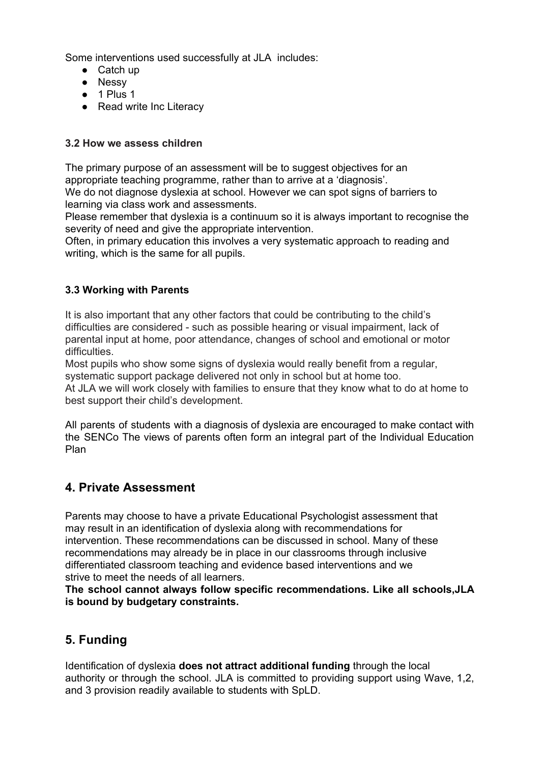Some interventions used successfully at JLA includes:

- Catch up
- Nessy
- 1 Plus 1
- Read write Inc Literacy

#### **3.2 How we assess children**

The primary purpose of an assessment will be to suggest objectives for an appropriate teaching programme, rather than to arrive at a 'diagnosis'. We do not diagnose dyslexia at school. However we can spot signs of barriers to

learning via class work and assessments.

Please remember that dyslexia is a continuum so it is always important to recognise the severity of need and give the appropriate intervention.

Often, in primary education this involves a very systematic approach to reading and writing, which is the same for all pupils.

#### **3.3 Working with Parents**

It is also important that any other factors that could be contributing to the child's difficulties are considered - such as possible hearing or visual impairment, lack of parental input at home, poor attendance, changes of school and emotional or motor difficulties.

Most pupils who show some signs of dyslexia would really benefit from a regular, systematic support package delivered not only in school but at home too.

At JLA we will work closely with families to ensure that they know what to do at home to best support their child's development.

All parents of students with a diagnosis of dyslexia are encouraged to make contact with the SENCo The views of parents often form an integral part of the Individual Education Plan

### **4. Private Assessment**

Parents may choose to have a private Educational Psychologist assessment that may result in an identification of dyslexia along with recommendations for intervention. These recommendations can be discussed in school. Many of these recommendations may already be in place in our classrooms through inclusive differentiated classroom teaching and evidence based interventions and we strive to meet the needs of all learners.

**The school cannot always follow specific recommendations. Like all schools,JLA is bound by budgetary constraints.**

# **5. Funding**

Identification of dyslexia **does not attract additional funding** through the local authority or through the school. JLA is committed to providing support using Wave, 1,2, and 3 provision readily available to students with SpLD.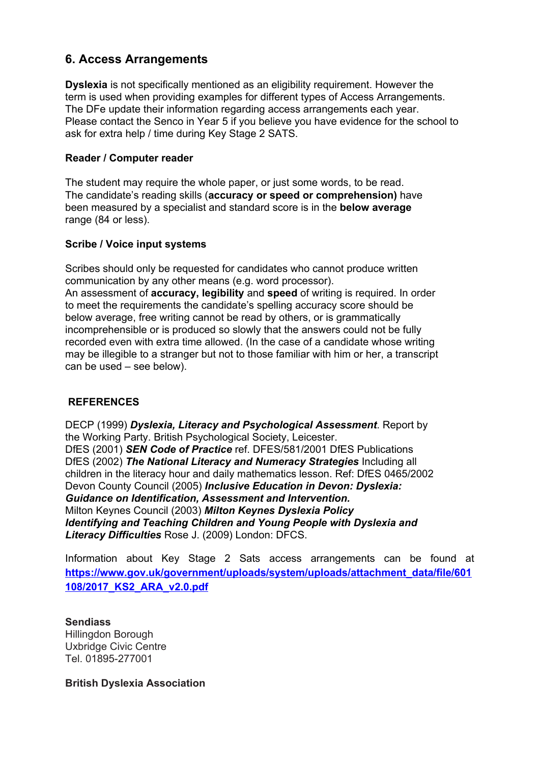# **6. Access Arrangements**

**Dyslexia** is not specifically mentioned as an eligibility requirement. However the term is used when providing examples for different types of Access Arrangements. The DFe update their information regarding access arrangements each year. Please contact the Senco in Year 5 if you believe you have evidence for the school to ask for extra help / time during Key Stage 2 SATS.

#### **Reader / Computer reader**

The student may require the whole paper, or just some words, to be read. The candidate's reading skills (**accuracy or speed or comprehension)** have been measured by a specialist and standard score is in the **below average** range (84 or less).

#### **Scribe / Voice input systems**

Scribes should only be requested for candidates who cannot produce written communication by any other means (e.g. word processor).

An assessment of **accuracy, legibility** and **speed** of writing is required. In order to meet the requirements the candidate's spelling accuracy score should be below average, free writing cannot be read by others, or is grammatically incomprehensible or is produced so slowly that the answers could not be fully recorded even with extra time allowed. (In the case of a candidate whose writing may be illegible to a stranger but not to those familiar with him or her, a transcript can be used – see below).

#### **REFERENCES**

DECP (1999) *Dyslexia, Literacy and Psychological Assessment*. Report by the Working Party. British Psychological Society, Leicester. DfES (2001) *SEN Code of Practice* ref. DFES/581/2001 DfES Publications DfES (2002) *The National Literacy and Numeracy Strategies* Including all children in the literacy hour and daily mathematics lesson. Ref: DfES 0465/2002 Devon County Council (2005) *Inclusive Education in Devon: Dyslexia: Guidance on Identification, Assessment and Intervention.* Milton Keynes Council (2003) *Milton Keynes Dyslexia Policy Identifying and Teaching Children and Young People with Dyslexia and Literacy Difficulties* Rose J. (2009) London: DFCS.

Information about Key Stage 2 Sats access arrangements can be found at **[https://www.gov.uk/government/uploads/system/uploads/attachment\\_data/file/601](https://www.gov.uk/government/uploads/system/uploads/attachment_data/file/601108/2017_KS2_ARA_v2.0.pdf) [108/2017\\_KS2\\_ARA\\_v2.0.pdf](https://www.gov.uk/government/uploads/system/uploads/attachment_data/file/601108/2017_KS2_ARA_v2.0.pdf)**

**Sendiass** Hillingdon Borough Uxbridge Civic Centre Tel. 01895-277001

**British Dyslexia Association**